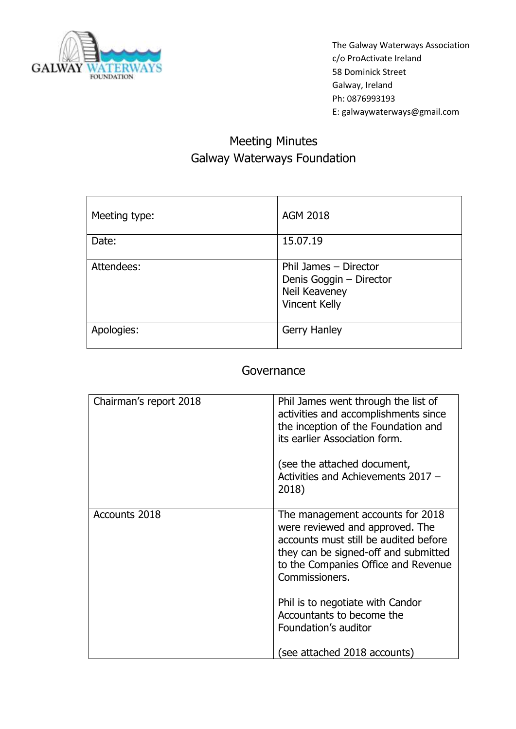

# Meeting Minutes Galway Waterways Foundation

| Meeting type: | <b>AGM 2018</b>                                                                           |
|---------------|-------------------------------------------------------------------------------------------|
| Date:         | 15.07.19                                                                                  |
| Attendees:    | Phil James - Director<br>Denis Goggin - Director<br>Neil Keaveney<br><b>Vincent Kelly</b> |
| Apologies:    | <b>Gerry Hanley</b>                                                                       |

### Governance

| Chairman's report 2018 | Phil James went through the list of<br>activities and accomplishments since<br>the inception of the Foundation and<br>its earlier Association form.<br>(see the attached document,<br>Activities and Achievements 2017 -<br>2018)                                                                      |
|------------------------|--------------------------------------------------------------------------------------------------------------------------------------------------------------------------------------------------------------------------------------------------------------------------------------------------------|
| Accounts 2018          | The management accounts for 2018<br>were reviewed and approved. The<br>accounts must still be audited before<br>they can be signed-off and submitted<br>to the Companies Office and Revenue<br>Commissioners.<br>Phil is to negotiate with Candor<br>Accountants to become the<br>Foundation's auditor |
|                        | (see attached 2018 accounts)                                                                                                                                                                                                                                                                           |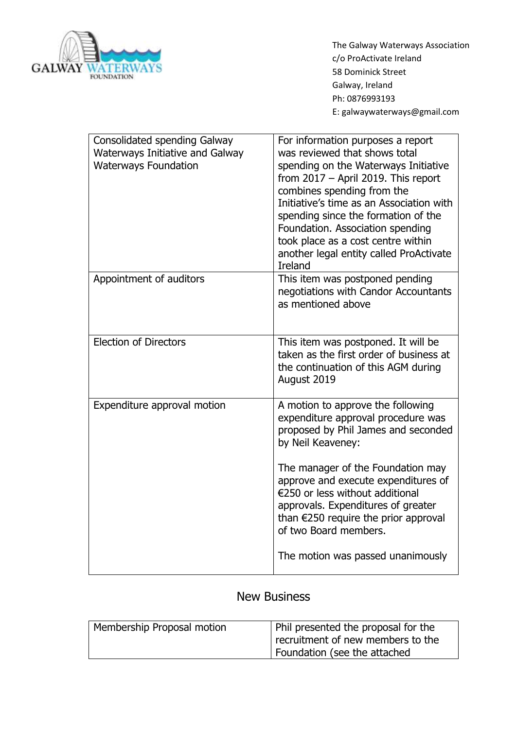

| <b>Consolidated spending Galway</b><br><b>Waterways Initiative and Galway</b><br><b>Waterways Foundation</b> | For information purposes a report<br>was reviewed that shows total<br>spending on the Waterways Initiative<br>from 2017 - April 2019. This report<br>combines spending from the<br>Initiative's time as an Association with<br>spending since the formation of the<br>Foundation. Association spending<br>took place as a cost centre within<br>another legal entity called ProActivate<br><b>Ireland</b> |
|--------------------------------------------------------------------------------------------------------------|-----------------------------------------------------------------------------------------------------------------------------------------------------------------------------------------------------------------------------------------------------------------------------------------------------------------------------------------------------------------------------------------------------------|
| Appointment of auditors                                                                                      | This item was postponed pending<br>negotiations with Candor Accountants<br>as mentioned above                                                                                                                                                                                                                                                                                                             |
| <b>Election of Directors</b>                                                                                 | This item was postponed. It will be<br>taken as the first order of business at<br>the continuation of this AGM during<br>August 2019                                                                                                                                                                                                                                                                      |
| Expenditure approval motion                                                                                  | A motion to approve the following<br>expenditure approval procedure was<br>proposed by Phil James and seconded<br>by Neil Keaveney:                                                                                                                                                                                                                                                                       |
|                                                                                                              | The manager of the Foundation may<br>approve and execute expenditures of<br>€250 or less without additional<br>approvals. Expenditures of greater<br>than $\epsilon$ 250 require the prior approval<br>of two Board members.                                                                                                                                                                              |
|                                                                                                              | The motion was passed unanimously                                                                                                                                                                                                                                                                                                                                                                         |

## New Business

| Membership Proposal motion | Phil presented the proposal for the |
|----------------------------|-------------------------------------|
|                            | recruitment of new members to the   |
|                            | Foundation (see the attached        |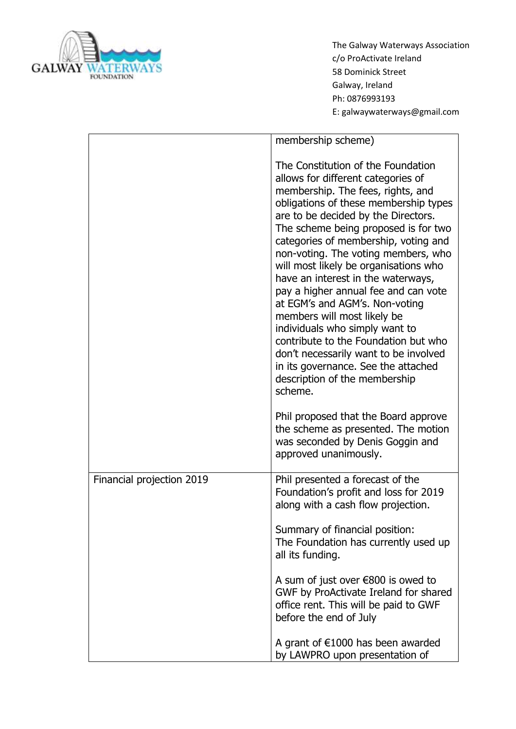

|                           | membership scheme)                                                                                                                                                                                                                                                                                                                                                                                                                                                                                                                                                                                                                                                                                                 |
|---------------------------|--------------------------------------------------------------------------------------------------------------------------------------------------------------------------------------------------------------------------------------------------------------------------------------------------------------------------------------------------------------------------------------------------------------------------------------------------------------------------------------------------------------------------------------------------------------------------------------------------------------------------------------------------------------------------------------------------------------------|
|                           | The Constitution of the Foundation<br>allows for different categories of<br>membership. The fees, rights, and<br>obligations of these membership types<br>are to be decided by the Directors.<br>The scheme being proposed is for two<br>categories of membership, voting and<br>non-voting. The voting members, who<br>will most likely be organisations who<br>have an interest in the waterways,<br>pay a higher annual fee and can vote<br>at EGM's and AGM's. Non-voting<br>members will most likely be<br>individuals who simply want to<br>contribute to the Foundation but who<br>don't necessarily want to be involved<br>in its governance. See the attached<br>description of the membership<br>scheme. |
|                           | Phil proposed that the Board approve<br>the scheme as presented. The motion<br>was seconded by Denis Goggin and<br>approved unanimously.                                                                                                                                                                                                                                                                                                                                                                                                                                                                                                                                                                           |
| Financial projection 2019 | Phil presented a forecast of the<br>Foundation's profit and loss for 2019<br>along with a cash flow projection.                                                                                                                                                                                                                                                                                                                                                                                                                                                                                                                                                                                                    |
|                           | Summary of financial position:<br>The Foundation has currently used up<br>all its funding.                                                                                                                                                                                                                                                                                                                                                                                                                                                                                                                                                                                                                         |
|                           | A sum of just over $\epsilon$ 800 is owed to<br>GWF by ProActivate Ireland for shared<br>office rent. This will be paid to GWF<br>before the end of July                                                                                                                                                                                                                                                                                                                                                                                                                                                                                                                                                           |
|                           | A grant of $€1000$ has been awarded<br>by LAWPRO upon presentation of                                                                                                                                                                                                                                                                                                                                                                                                                                                                                                                                                                                                                                              |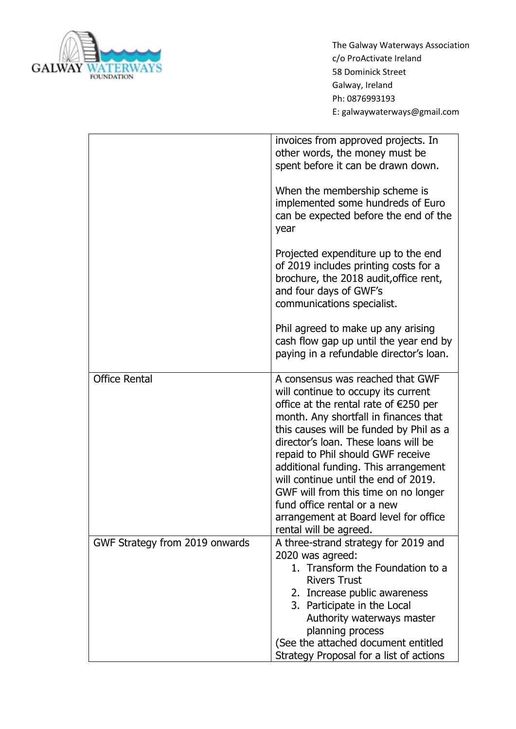

|                                | invoices from approved projects. In<br>other words, the money must be<br>spent before it can be drawn down.                                                                                                                                                                                                                                                                                                                                                                                                    |
|--------------------------------|----------------------------------------------------------------------------------------------------------------------------------------------------------------------------------------------------------------------------------------------------------------------------------------------------------------------------------------------------------------------------------------------------------------------------------------------------------------------------------------------------------------|
|                                | When the membership scheme is<br>implemented some hundreds of Euro<br>can be expected before the end of the<br>year                                                                                                                                                                                                                                                                                                                                                                                            |
|                                | Projected expenditure up to the end<br>of 2019 includes printing costs for a<br>brochure, the 2018 audit, office rent,<br>and four days of GWF's<br>communications specialist.                                                                                                                                                                                                                                                                                                                                 |
|                                | Phil agreed to make up any arising<br>cash flow gap up until the year end by<br>paying in a refundable director's loan.                                                                                                                                                                                                                                                                                                                                                                                        |
| <b>Office Rental</b>           | A consensus was reached that GWF<br>will continue to occupy its current<br>office at the rental rate of $E$ 250 per<br>month. Any shortfall in finances that<br>this causes will be funded by Phil as a<br>director's loan. These loans will be<br>repaid to Phil should GWF receive<br>additional funding. This arrangement<br>will continue until the end of 2019.<br>GWF will from this time on no longer<br>fund office rental or a new<br>arrangement at Board level for office<br>rental will be agreed. |
| GWF Strategy from 2019 onwards | A three-strand strategy for 2019 and<br>2020 was agreed:<br>1. Transform the Foundation to a<br><b>Rivers Trust</b><br>2. Increase public awareness<br>3. Participate in the Local<br>Authority waterways master<br>planning process<br>(See the attached document entitled<br>Strategy Proposal for a list of actions                                                                                                                                                                                         |